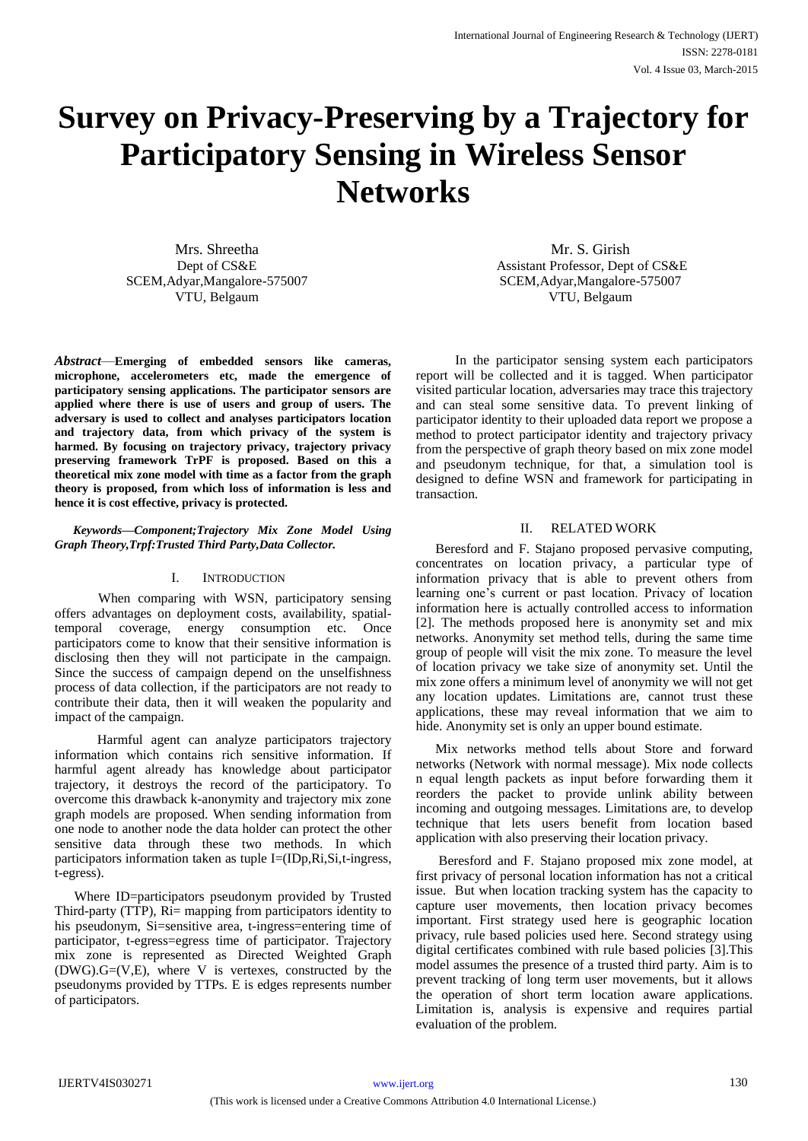# **Survey on Privacy-Preserving by a Trajectory for Participatory Sensing in Wireless Sensor Networks**

Mrs. Shreetha Dept of CS&E SCEM,Adyar,Mangalore-575007 VTU, Belgaum

*Abstract*—**Emerging of embedded sensors like cameras, microphone, accelerometers etc, made the emergence of participatory sensing applications. The participator sensors are applied where there is use of users and group of users. The adversary is used to collect and analyses participators location and trajectory data, from which privacy of the system is harmed. By focusing on trajectory privacy, trajectory privacy preserving framework TrPF is proposed. Based on this a theoretical mix zone model with time as a factor from the graph theory is proposed, from which loss of information is less and hence it is cost effective, privacy is protected.** 

#### *Keywords—Component;Trajectory Mix Zone Model Using Graph Theory,Trpf:Trusted Third Party,Data Collector.*

#### I. INTRODUCTION

 When comparing with WSN, participatory sensing offers advantages on deployment costs, availability, spatialtemporal coverage, energy consumption etc. Once participators come to know that their sensitive information is disclosing then they will not participate in the campaign. Since the success of campaign depend on the unselfishness process of data collection, if the participators are not ready to contribute their data, then it will weaken the popularity and impact of the campaign.

 Harmful agent can analyze participators trajectory information which contains rich sensitive information. If harmful agent already has knowledge about participator trajectory, it destroys the record of the participatory. To overcome this drawback k-anonymity and trajectory mix zone graph models are proposed. When sending information from one node to another node the data holder can protect the other sensitive data through these two methods. In which participators information taken as tuple I=(IDp,Ri,Si,t-ingress, t-egress).

Where ID=participators pseudonym provided by Trusted Third-party (TTP), Ri= mapping from participators identity to his pseudonym, Si=sensitive area, t-ingress=entering time of participator, t-egress=egress time of participator. Trajectory mix zone is represented as Directed Weighted Graph  $(DWG) \cdot G = (V, E)$ , where V is vertexes, constructed by the pseudonyms provided by TTPs. E is edges represents number of participators.

Mr. S. Girish Assistant Professor, Dept of CS&E SCEM,Adyar,Mangalore-575007 VTU, Belgaum

 In the participator sensing system each participators report will be collected and it is tagged. When participator visited particular location, adversaries may trace this trajectory and can steal some sensitive data. To prevent linking of participator identity to their uploaded data report we propose a method to protect participator identity and trajectory privacy from the perspective of graph theory based on mix zone model and pseudonym technique, for that, a simulation tool is designed to define WSN and framework for participating in transaction.

### II. RELATED WORK

Beresford and F. Stajano proposed pervasive computing, concentrates on location privacy, a particular type of information privacy that is able to prevent others from learning one's current or past location. Privacy of location information here is actually controlled access to information [2]. The methods proposed here is anonymity set and mix networks. Anonymity set method tells, during the same time group of people will visit the mix zone. To measure the level of location privacy we take size of anonymity set. Until the mix zone offers a minimum level of anonymity we will not get any location updates. Limitations are, cannot trust these applications, these may reveal information that we aim to hide. Anonymity set is only an upper bound estimate.

Mix networks method tells about Store and forward networks (Network with normal message). Mix node collects n equal length packets as input before forwarding them it reorders the packet to provide unlink ability between incoming and outgoing messages. Limitations are, to develop technique that lets users benefit from location based application with also preserving their location privacy.

Beresford and F. Stajano proposed mix zone model, at first privacy of personal location information has not a critical issue. But when location tracking system has the capacity to capture user movements, then location privacy becomes important. First strategy used here is geographic location privacy, rule based policies used here. Second strategy using digital certificates combined with rule based policies [3].This model assumes the presence of a trusted third party. Aim is to prevent tracking of long term user movements, but it allows the operation of short term location aware applications. Limitation is, analysis is expensive and requires partial evaluation of the problem.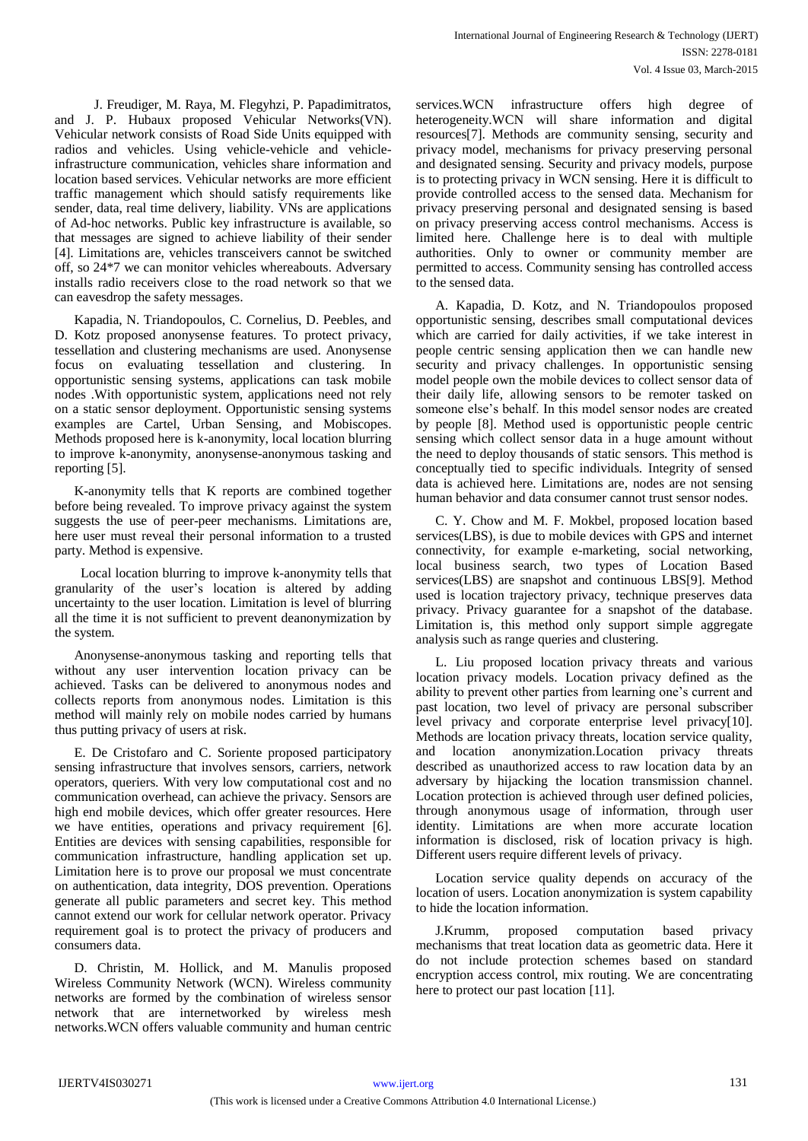J. Freudiger, M. Raya, M. Flegyhzi, P. Papadimitratos, and J. P. Hubaux proposed Vehicular Networks(VN). Vehicular network consists of Road Side Units equipped with radios and vehicles. Using vehicle-vehicle and vehicleinfrastructure communication, vehicles share information and location based services. Vehicular networks are more efficient traffic management which should satisfy requirements like sender, data, real time delivery, liability. VNs are applications of Ad-hoc networks. Public key infrastructure is available, so that messages are signed to achieve liability of their sender [4]. Limitations are, vehicles transceivers cannot be switched off, so 24\*7 we can monitor vehicles whereabouts. Adversary installs radio receivers close to the road network so that we can eavesdrop the safety messages.

Kapadia, N. Triandopoulos, C. Cornelius, D. Peebles, and D. Kotz proposed anonysense features. To protect privacy, tessellation and clustering mechanisms are used. Anonysense focus on evaluating tessellation and clustering. In opportunistic sensing systems, applications can task mobile nodes .With opportunistic system, applications need not rely on a static sensor deployment. Opportunistic sensing systems examples are Cartel, Urban Sensing, and Mobiscopes. Methods proposed here is k-anonymity, local location blurring to improve k-anonymity, anonysense-anonymous tasking and reporting [5].

K-anonymity tells that K reports are combined together before being revealed. To improve privacy against the system suggests the use of peer-peer mechanisms. Limitations are, here user must reveal their personal information to a trusted party. Method is expensive.

 Local location blurring to improve k-anonymity tells that granularity of the user's location is altered by adding uncertainty to the user location. Limitation is level of blurring all the time it is not sufficient to prevent deanonymization by the system.

Anonysense-anonymous tasking and reporting tells that without any user intervention location privacy can be achieved. Tasks can be delivered to anonymous nodes and collects reports from anonymous nodes. Limitation is this method will mainly rely on mobile nodes carried by humans thus putting privacy of users at risk.

E. De Cristofaro and C. Soriente proposed participatory sensing infrastructure that involves sensors, carriers, network operators, queriers. With very low computational cost and no communication overhead, can achieve the privacy. Sensors are high end mobile devices, which offer greater resources. Here we have entities, operations and privacy requirement [6]. Entities are devices with sensing capabilities, responsible for communication infrastructure, handling application set up. Limitation here is to prove our proposal we must concentrate on authentication, data integrity, DOS prevention. Operations generate all public parameters and secret key. This method cannot extend our work for cellular network operator. Privacy requirement goal is to protect the privacy of producers and consumers data.

D. Christin, M. Hollick, and M. Manulis proposed Wireless Community Network (WCN). Wireless community networks are formed by the combination of wireless sensor network that are internetworked by wireless mesh networks.WCN offers valuable community and human centric

services.WCN infrastructure offers high degree of heterogeneity.WCN will share information and digital resources[7]. Methods are community sensing, security and privacy model, mechanisms for privacy preserving personal and designated sensing. Security and privacy models, purpose is to protecting privacy in WCN sensing. Here it is difficult to provide controlled access to the sensed data. Mechanism for privacy preserving personal and designated sensing is based on privacy preserving access control mechanisms. Access is limited here. Challenge here is to deal with multiple authorities. Only to owner or community member are permitted to access. Community sensing has controlled access to the sensed data.

A. Kapadia, D. Kotz, and N. Triandopoulos proposed opportunistic sensing, describes small computational devices which are carried for daily activities, if we take interest in people centric sensing application then we can handle new security and privacy challenges. In opportunistic sensing model people own the mobile devices to collect sensor data of their daily life, allowing sensors to be remoter tasked on someone else's behalf. In this model sensor nodes are created by people [8]. Method used is opportunistic people centric sensing which collect sensor data in a huge amount without the need to deploy thousands of static sensors. This method is conceptually tied to specific individuals. Integrity of sensed data is achieved here. Limitations are, nodes are not sensing human behavior and data consumer cannot trust sensor nodes.

C. Y. Chow and M. F. Mokbel, proposed location based services(LBS), is due to mobile devices with GPS and internet connectivity, for example e-marketing, social networking, local business search, two types of Location Based services(LBS) are snapshot and continuous LBS[9]. Method used is location trajectory privacy, technique preserves data privacy. Privacy guarantee for a snapshot of the database. Limitation is, this method only support simple aggregate analysis such as range queries and clustering.

L. Liu proposed location privacy threats and various location privacy models. Location privacy defined as the ability to prevent other parties from learning one's current and past location, two level of privacy are personal subscriber level privacy and corporate enterprise level privacy[10]. Methods are location privacy threats, location service quality, and location anonymization.Location privacy threats described as unauthorized access to raw location data by an adversary by hijacking the location transmission channel. Location protection is achieved through user defined policies, through anonymous usage of information, through user identity. Limitations are when more accurate location information is disclosed, risk of location privacy is high. Different users require different levels of privacy.

Location service quality depends on accuracy of the location of users. Location anonymization is system capability to hide the location information.

J.Krumm, proposed computation based privacy mechanisms that treat location data as geometric data. Here it do not include protection schemes based on standard encryption access control, mix routing. We are concentrating here to protect our past location [11].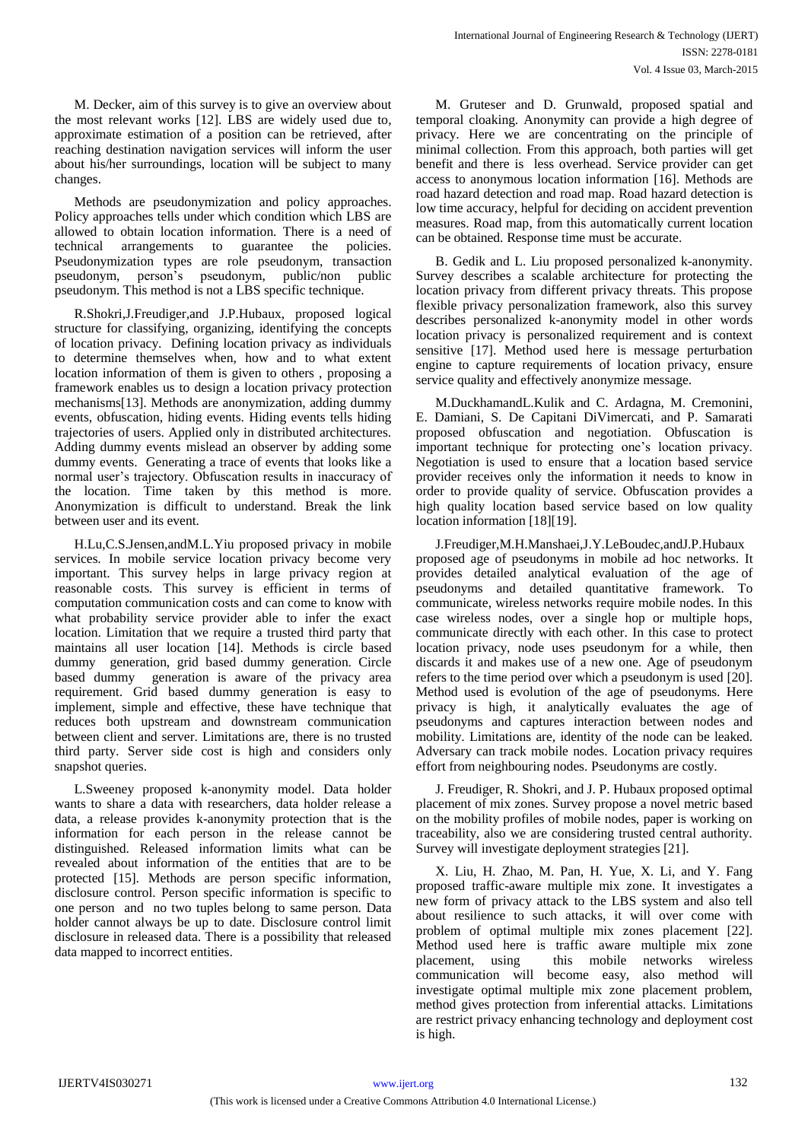M. Decker, aim of this survey is to give an overview about the most relevant works [12]. LBS are widely used due to, approximate estimation of a position can be retrieved, after reaching destination navigation services will inform the user about his/her surroundings, location will be subject to many changes.

Methods are pseudonymization and policy approaches. Policy approaches tells under which condition which LBS are allowed to obtain location information. There is a need of technical arrangements to guarantee the policies. Pseudonymization types are role pseudonym, transaction pseudonym, person's pseudonym, public/non public pseudonym. This method is not a LBS specific technique.

R.Shokri,J.Freudiger,and J.P.Hubaux, proposed logical structure for classifying, organizing, identifying the concepts of location privacy. Defining location privacy as individuals to determine themselves when, how and to what extent location information of them is given to others , proposing a framework enables us to design a location privacy protection mechanisms[13]. Methods are anonymization, adding dummy events, obfuscation, hiding events. Hiding events tells hiding trajectories of users. Applied only in distributed architectures. Adding dummy events mislead an observer by adding some dummy events. Generating a trace of events that looks like a normal user's trajectory. Obfuscation results in inaccuracy of the location. Time taken by this method is more. Anonymization is difficult to understand. Break the link between user and its event.

H.Lu,C.S.Jensen,andM.L.Yiu proposed privacy in mobile services. In mobile service location privacy become very important. This survey helps in large privacy region at reasonable costs. This survey is efficient in terms of computation communication costs and can come to know with what probability service provider able to infer the exact location. Limitation that we require a trusted third party that maintains all user location [14]. Methods is circle based dummy generation, grid based dummy generation. Circle based dummy generation is aware of the privacy area requirement. Grid based dummy generation is easy to implement, simple and effective, these have technique that reduces both upstream and downstream communication between client and server. Limitations are, there is no trusted third party. Server side cost is high and considers only snapshot queries.

L.Sweeney proposed k-anonymity model. Data holder wants to share a data with researchers, data holder release a data, a release provides k-anonymity protection that is the information for each person in the release cannot be distinguished. Released information limits what can be revealed about information of the entities that are to be protected [15]. Methods are person specific information, disclosure control. Person specific information is specific to one person and no two tuples belong to same person. Data holder cannot always be up to date. Disclosure control limit disclosure in released data. There is a possibility that released data mapped to incorrect entities.

M. Gruteser and D. Grunwald, proposed spatial and temporal cloaking. Anonymity can provide a high degree of privacy. Here we are concentrating on the principle of minimal collection. From this approach, both parties will get benefit and there is less overhead. Service provider can get access to anonymous location information [16]. Methods are road hazard detection and road map. Road hazard detection is low time accuracy, helpful for deciding on accident prevention measures. Road map, from this automatically current location can be obtained. Response time must be accurate.

B. Gedik and L. Liu proposed personalized k-anonymity. Survey describes a scalable architecture for protecting the location privacy from different privacy threats. This propose flexible privacy personalization framework, also this survey describes personalized k-anonymity model in other words location privacy is personalized requirement and is context sensitive [17]. Method used here is message perturbation engine to capture requirements of location privacy, ensure service quality and effectively anonymize message.

M.DuckhamandL.Kulik and C. Ardagna, M. Cremonini, E. Damiani, S. De Capitani DiVimercati, and P. Samarati proposed obfuscation and negotiation. Obfuscation is important technique for protecting one's location privacy. Negotiation is used to ensure that a location based service provider receives only the information it needs to know in order to provide quality of service. Obfuscation provides a high quality location based service based on low quality location information [18][19].

J.Freudiger,M.H.Manshaei,J.Y.LeBoudec,andJ.P.Hubaux proposed age of pseudonyms in mobile ad hoc networks. It provides detailed analytical evaluation of the age of pseudonyms and detailed quantitative framework. To communicate, wireless networks require mobile nodes. In this case wireless nodes, over a single hop or multiple hops, communicate directly with each other. In this case to protect location privacy, node uses pseudonym for a while, then discards it and makes use of a new one. Age of pseudonym refers to the time period over which a pseudonym is used [20]. Method used is evolution of the age of pseudonyms. Here privacy is high, it analytically evaluates the age of pseudonyms and captures interaction between nodes and mobility. Limitations are, identity of the node can be leaked. Adversary can track mobile nodes. Location privacy requires effort from neighbouring nodes. Pseudonyms are costly.

J. Freudiger, R. Shokri, and J. P. Hubaux proposed optimal placement of mix zones. Survey propose a novel metric based on the mobility profiles of mobile nodes, paper is working on traceability, also we are considering trusted central authority. Survey will investigate deployment strategies [21].

X. Liu, H. Zhao, M. Pan, H. Yue, X. Li, and Y. Fang proposed traffic-aware multiple mix zone. It investigates a new form of privacy attack to the LBS system and also tell about resilience to such attacks, it will over come with problem of optimal multiple mix zones placement [22]. Method used here is traffic aware multiple mix zone placement, using this mobile networks wireless communication will become easy, also method will investigate optimal multiple mix zone placement problem, method gives protection from inferential attacks. Limitations are restrict privacy enhancing technology and deployment cost is high.